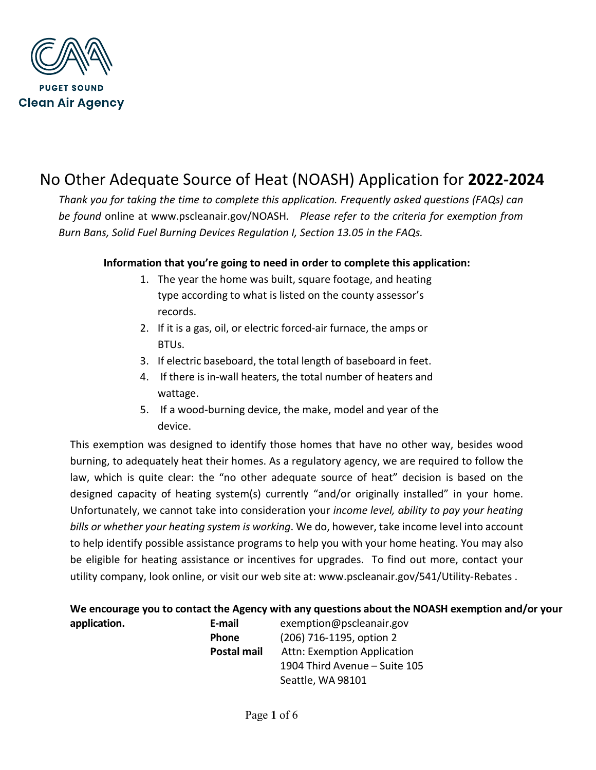

# No Other Adequate Source of Heat (NOASH) Application for **2022-2024**

*Thank you for taking the time to complete this application. Frequently asked questions (FAQs) can be found* online at www.pscleanair.gov/NOASH*. Please refer to the criteria for exemption from Burn Bans, Solid Fuel Burning Devices Regulation I, Section 13.05 in the FAQs.* 

### **Information that you're going to need in order to complete this application:**

- 1. The year the home was built, square footage, and heating type according to what is listed on the county assessor's records.
- 2. If it is a gas, oil, or electric forced-air furnace, the amps or BTUs.
- 3. If electric baseboard, the total length of baseboard in feet.
- 4. If there is in-wall heaters, the total number of heaters and wattage.
- 5. If a wood-burning device, the make, model and year of the device.

This exemption was designed to identify those homes that have no other way, besides wood burning, to adequately heat their homes. As a regulatory agency, we are required to follow the law, which is quite clear: the "no other adequate source of heat" decision is based on the designed capacity of heating system(s) currently "and/or originally installed" in your home. Unfortunately, we cannot take into consideration your *income level, ability to pay your heating bills or whether your heating system is working*. We do, however, take income level into account to help identify possible assistance programs to help you with your home heating. You may also be eligible for heating assistance or incentives for upgrades. To find out more, contact your utility company, look online, or visit our web site at: www.pscleanair.gov/541/Utility-Rebates .

## **We encourage you to contact the Agency with any questions about the NOASH exemption and/or your**

**application. E-mail** exemption@pscleanair.gov **Phone** (206) 716-1195, option 2 **Postal mail** Attn: Exemption Application 1904 Third Avenue – Suite 105 Seattle, WA 98101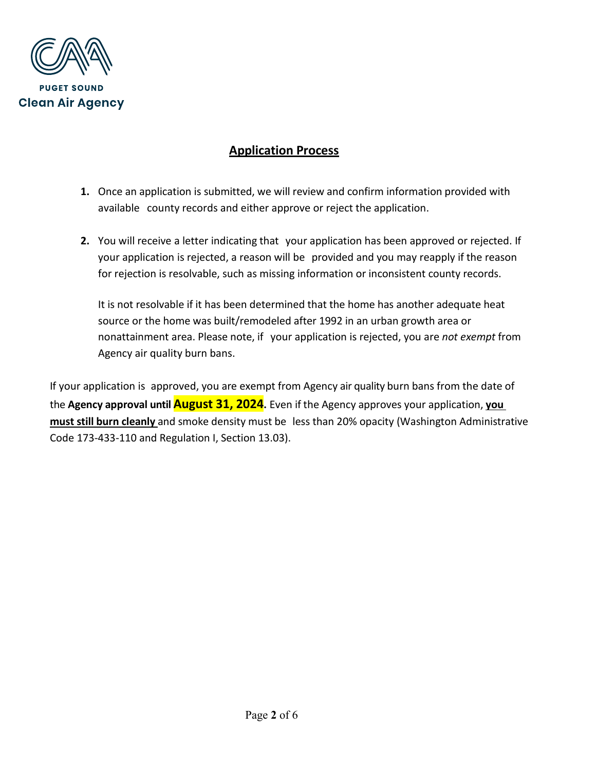

## **Application Process**

- **1.** Once an application is submitted, we will review and confirm information provided with available county records and either approve or reject the application.
- **2.** You will receive a letter indicating that your application has been approved or rejected. If your application is rejected, a reason will be provided and you may reapply if the reason for rejection is resolvable, such as missing information or inconsistent county records.

It is not resolvable if it has been determined that the home has another adequate heat source or the home was built/remodeled after 1992 in an urban growth area or nonattainment area. Please note, if your application is rejected, you are *not exempt* from Agency air quality burn bans.

If your application is approved, you are exempt from Agency air quality burn bans from the date of the **Agency approval until August 31, 2024.** Even if the Agency approves your application, **you must still burn cleanly** and smoke density must be less than 20% opacity (Washington Administrative Code 173-433-110 and Regulation I, Section 13.03).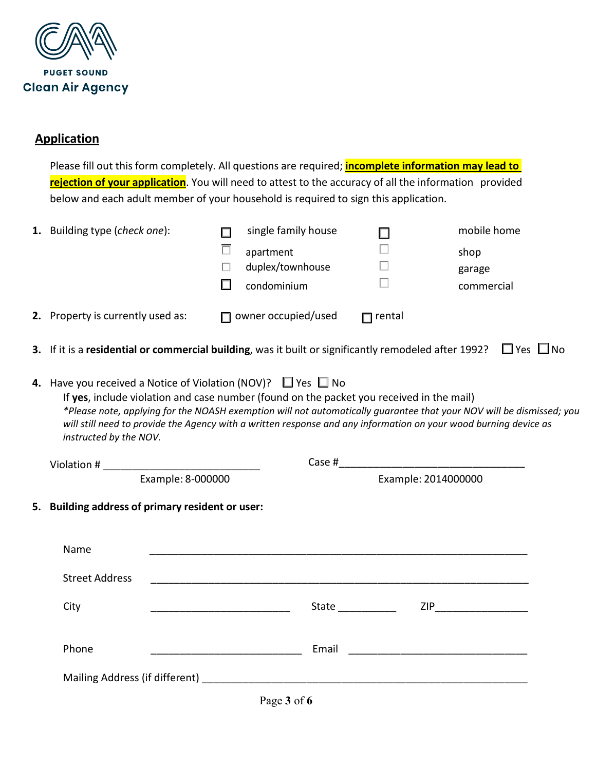

## **Application**

Please fill out this form completely. All questions are required; **incomplete information may lead to rejection of your application**. You will need to attest to the accuracy of all the information provided below and each adult member of your household is required to sign this application.

| 2. Property is currently used as: |                                                  | condominium                                                                                                                                                               |               | garage<br>commercial                                                                                                                                                                                                                     |
|-----------------------------------|--------------------------------------------------|---------------------------------------------------------------------------------------------------------------------------------------------------------------------------|---------------|------------------------------------------------------------------------------------------------------------------------------------------------------------------------------------------------------------------------------------------|
|                                   |                                                  | $\Box$ owner occupied/used                                                                                                                                                | $\Box$ rental |                                                                                                                                                                                                                                          |
|                                   |                                                  |                                                                                                                                                                           |               | 3. If it is a residential or commercial building, was it built or significantly remodeled after 1992? $\Box$ Yes $\Box$ No                                                                                                               |
| instructed by the NOV.            |                                                  | <b>4.</b> Have you received a Notice of Violation (NOV)? $\Box$ Yes $\Box$ No<br>If yes, include violation and case number (found on the packet you received in the mail) |               | *Please note, applying for the NOASH exemption will not automatically quarantee that your NOV will be dismissed; you<br>will still need to provide the Agency with a written response and any information on your wood burning device as |
|                                   |                                                  |                                                                                                                                                                           |               |                                                                                                                                                                                                                                          |
|                                   | Example: 8-000000                                |                                                                                                                                                                           |               | Example: 2014000000                                                                                                                                                                                                                      |
|                                   | 5. Building address of primary resident or user: |                                                                                                                                                                           |               |                                                                                                                                                                                                                                          |
| Name                              |                                                  |                                                                                                                                                                           |               |                                                                                                                                                                                                                                          |
| <b>Street Address</b>             |                                                  |                                                                                                                                                                           |               |                                                                                                                                                                                                                                          |
| City                              |                                                  |                                                                                                                                                                           |               | $\mathsf{ZIP}\_\_\_\_\_\_\_\_\_\_\_\_\_\_\_\_\_\_\_\_\_\_$                                                                                                                                                                               |
| Phone                             |                                                  |                                                                                                                                                                           |               |                                                                                                                                                                                                                                          |
|                                   |                                                  |                                                                                                                                                                           |               | <b>State State</b>                                                                                                                                                                                                                       |

Page **3** of **6**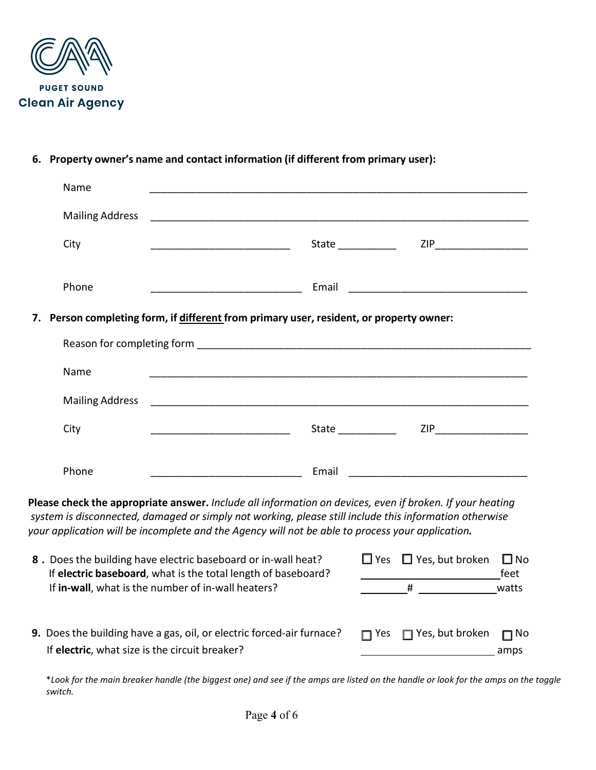

### **6. Property owner's name and contact information (if different from primary user):**

| Name                                                                                                                                                                      |                                                                                                  |                                                                                                        |                      |
|---------------------------------------------------------------------------------------------------------------------------------------------------------------------------|--------------------------------------------------------------------------------------------------|--------------------------------------------------------------------------------------------------------|----------------------|
| <b>Mailing Address</b>                                                                                                                                                    |                                                                                                  |                                                                                                        |                      |
| City                                                                                                                                                                      |                                                                                                  | $\mathsf{ZIP}\_\_\_\_\_\_\_\_\$<br>State ___________                                                   |                      |
| Phone                                                                                                                                                                     | Email                                                                                            |                                                                                                        |                      |
|                                                                                                                                                                           | 7. Person completing form, if different from primary user, resident, or property owner:          |                                                                                                        |                      |
|                                                                                                                                                                           |                                                                                                  |                                                                                                        |                      |
| Name                                                                                                                                                                      |                                                                                                  |                                                                                                        |                      |
| <b>Mailing Address</b>                                                                                                                                                    |                                                                                                  |                                                                                                        |                      |
| City                                                                                                                                                                      |                                                                                                  |                                                                                                        |                      |
| Phone                                                                                                                                                                     | Email                                                                                            |                                                                                                        |                      |
|                                                                                                                                                                           |                                                                                                  |                                                                                                        |                      |
|                                                                                                                                                                           | your application will be incomplete and the Agency will not be able to process your application. | system is disconnected, damaged or simply not working, please still include this information otherwise |                      |
| Please check the appropriate answer. Include all information on devices, even if broken. If your heating<br>8. Does the building have electric baseboard or in-wall heat? | If electric baseboard, what is the total length of baseboard?                                    | $\Box$ Yes $\Box$ Yes, but broken                                                                      | $\square$ No<br>feet |

If **electric**, what size is the circuit breaker? **All amps in the contract of the circuit** breaker?

\**Look for the main breaker handle (the biggest one) and see if the amps are listed on the handle or look for the amps on the toggle switch.*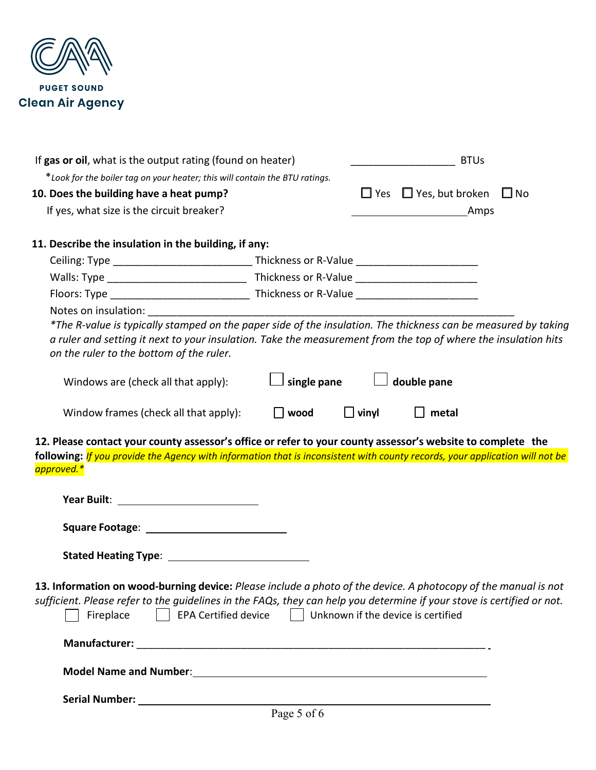

| *Look for the boiler tag on your heater; this will contain the BTU ratings.                                                                                                                                                                           | If gas or oil, what is the output rating (found on heater) |              | <b>BTUs</b>                                 |  |
|-------------------------------------------------------------------------------------------------------------------------------------------------------------------------------------------------------------------------------------------------------|------------------------------------------------------------|--------------|---------------------------------------------|--|
|                                                                                                                                                                                                                                                       |                                                            |              |                                             |  |
| 10. Does the building have a heat pump?                                                                                                                                                                                                               |                                                            |              | $\Box$ Yes $\Box$ Yes, but broken $\Box$ No |  |
| If yes, what size is the circuit breaker?                                                                                                                                                                                                             |                                                            |              | _Amps                                       |  |
| 11. Describe the insulation in the building, if any:                                                                                                                                                                                                  |                                                            |              |                                             |  |
|                                                                                                                                                                                                                                                       |                                                            |              |                                             |  |
|                                                                                                                                                                                                                                                       |                                                            |              |                                             |  |
|                                                                                                                                                                                                                                                       |                                                            |              |                                             |  |
| Notes on insulation: Notes on insulation:<br>*The R-value is typically stamped on the paper side of the insulation. The thickness can be measured by taking                                                                                           |                                                            |              |                                             |  |
| a ruler and setting it next to your insulation. Take the measurement from the top of where the insulation hits<br>on the ruler to the bottom of the ruler.                                                                                            |                                                            |              |                                             |  |
| Windows are (check all that apply):                                                                                                                                                                                                                   | single pane                                                |              | double pane                                 |  |
| Window frames (check all that apply):                                                                                                                                                                                                                 | $\Box$ wood                                                | $\Box$ vinyl | $\Box$ metal                                |  |
| 12. Please contact your county assessor's office or refer to your county assessor's website to complete the                                                                                                                                           |                                                            |              |                                             |  |
| following: If you provide the Agency with information that is inconsistent with county records, your application will not be<br>approved.*                                                                                                            |                                                            |              |                                             |  |
|                                                                                                                                                                                                                                                       |                                                            |              |                                             |  |
|                                                                                                                                                                                                                                                       |                                                            |              |                                             |  |
|                                                                                                                                                                                                                                                       |                                                            |              |                                             |  |
| 13. Information on wood-burning device: Please include a photo of the device. A photocopy of the manual is not<br>sufficient. Please refer to the guidelines in the FAQs, they can help you determine if your stove is certified or not.<br>Fireplace | EPA Certified device   Unknown if the device is certified  |              |                                             |  |
|                                                                                                                                                                                                                                                       |                                                            |              |                                             |  |
|                                                                                                                                                                                                                                                       |                                                            |              |                                             |  |